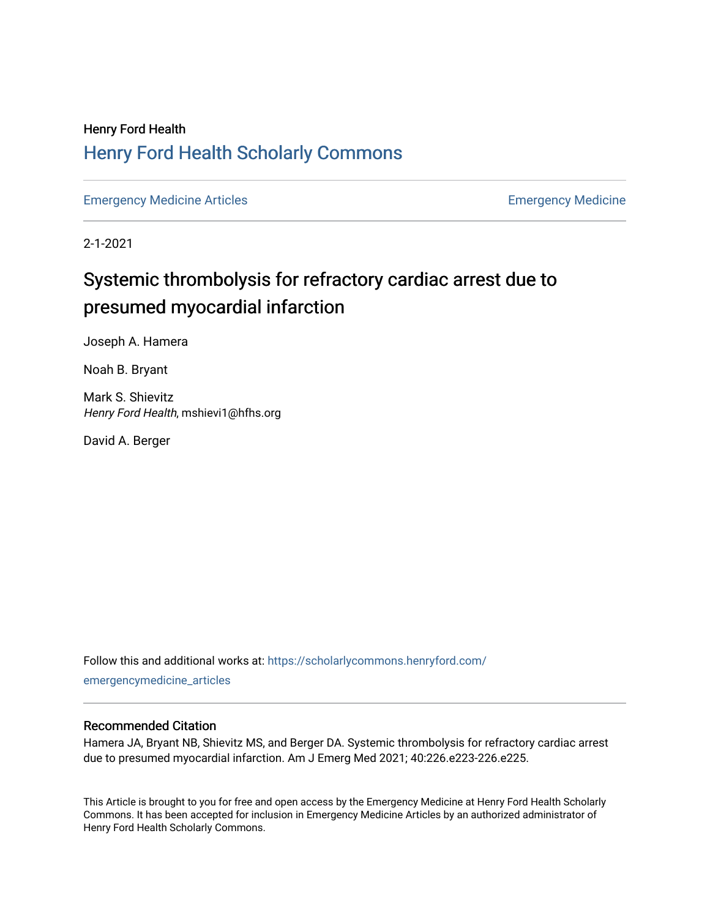## Henry Ford Health [Henry Ford Health Scholarly Commons](https://scholarlycommons.henryford.com/)

[Emergency Medicine Articles](https://scholarlycommons.henryford.com/emergencymedicine_articles) **Emergency Medicine** 

2-1-2021

# Systemic thrombolysis for refractory cardiac arrest due to presumed myocardial infarction

Joseph A. Hamera

Noah B. Bryant

Mark S. Shievitz Henry Ford Health, mshievi1@hfhs.org

David A. Berger

Follow this and additional works at: [https://scholarlycommons.henryford.com/](https://scholarlycommons.henryford.com/emergencymedicine_articles?utm_source=scholarlycommons.henryford.com%2Femergencymedicine_articles%2F217&utm_medium=PDF&utm_campaign=PDFCoverPages) [emergencymedicine\\_articles](https://scholarlycommons.henryford.com/emergencymedicine_articles?utm_source=scholarlycommons.henryford.com%2Femergencymedicine_articles%2F217&utm_medium=PDF&utm_campaign=PDFCoverPages) 

### Recommended Citation

Hamera JA, Bryant NB, Shievitz MS, and Berger DA. Systemic thrombolysis for refractory cardiac arrest due to presumed myocardial infarction. Am J Emerg Med 2021; 40:226.e223-226.e225.

This Article is brought to you for free and open access by the Emergency Medicine at Henry Ford Health Scholarly Commons. It has been accepted for inclusion in Emergency Medicine Articles by an authorized administrator of Henry Ford Health Scholarly Commons.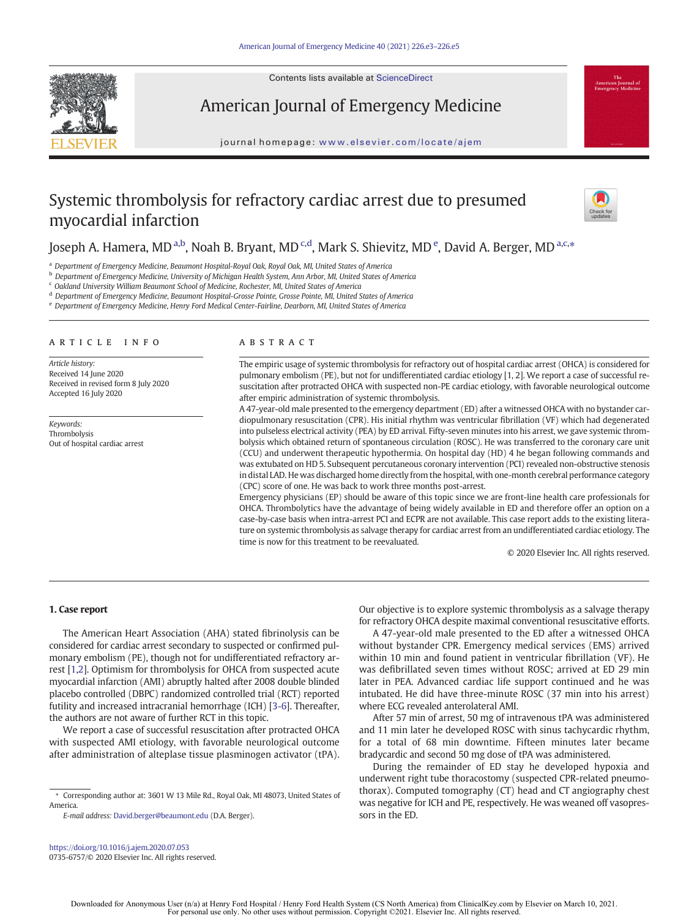Contents lists available at ScienceDirect



American Journal of Emergency Medicine

journal homepage: <www.elsevier.com/locate/ajem>

### Systemic thrombolysis for refractory cardiac arrest due to presumed myocardial infarction



### Joseph A. Hamera, MD <sup>a,b</sup>, Noah B. Bryant, MD <sup>c,d</sup>, Mark S. Shievitz, MD <sup>e</sup>, David A. Berger, MD <sup>a,c,</sup>\*

<sup>a</sup> Department of Emergency Medicine, Beaumont Hospital-Royal Oak, Royal Oak, MI, United States of America

**b** Department of Emergency Medicine, University of Michigan Health System, Ann Arbor, MI, United States of America

<sup>c</sup> Oakland University William Beaumont School of Medicine, Rochester, MI, United States of America

<sup>d</sup> Department of Emergency Medicine, Beaumont Hospital-Grosse Pointe, Grosse Pointe, MI, United States of America

<sup>e</sup> Department of Emergency Medicine, Henry Ford Medical Center-Fairline, Dearborn, MI, United States of America

#### article info abstract

Article history: Received 14 June 2020 Received in revised form 8 July 2020 Accepted 16 July 2020

Keywords: Thrombolysis Out of hospital cardiac arrest

The empiric usage of systemic thrombolysis for refractory out of hospital cardiac arrest (OHCA) is considered for pulmonary embolism (PE), but not for undifferentiated cardiac etiology [1, 2]. We report a case of successful resuscitation after protracted OHCA with suspected non-PE cardiac etiology, with favorable neurological outcome after empiric administration of systemic thrombolysis.

A 47-year-old male presented to the emergency department (ED) after a witnessed OHCA with no bystander cardiopulmonary resuscitation (CPR). His initial rhythm was ventricular fibrillation (VF) which had degenerated into pulseless electrical activity (PEA) by ED arrival. Fifty-seven minutes into his arrest, we gave systemic thrombolysis which obtained return of spontaneous circulation (ROSC). He was transferred to the coronary care unit (CCU) and underwent therapeutic hypothermia. On hospital day (HD) 4 he began following commands and was extubated on HD 5. Subsequent percutaneous coronary intervention (PCI) revealed non-obstructive stenosis in distal LAD. He was discharged home directly from the hospital, with one-month cerebral performance category (CPC) score of one. He was back to work three months post-arrest.

Emergency physicians (EP) should be aware of this topic since we are front-line health care professionals for OHCA. Thrombolytics have the advantage of being widely available in ED and therefore offer an option on a case-by-case basis when intra-arrest PCI and ECPR are not available. This case report adds to the existing literature on systemic thrombolysis as salvage therapy for cardiac arrest from an undifferentiated cardiac etiology. The time is now for this treatment to be reevaluated.

© 2020 Elsevier Inc. All rights reserved.

#### 1. Case report

The American Heart Association (AHA) stated fibrinolysis can be considered for cardiac arrest secondary to suspected or confirmed pulmonary embolism (PE), though not for undifferentiated refractory arrest [\[1,2](#page-2-0)]. Optimism for thrombolysis for OHCA from suspected acute myocardial infarction (AMI) abruptly halted after 2008 double blinded placebo controlled (DBPC) randomized controlled trial (RCT) reported futility and increased intracranial hemorrhage (ICH) [[3-6\]](#page-2-0). Thereafter, the authors are not aware of further RCT in this topic.

We report a case of successful resuscitation after protracted OHCA with suspected AMI etiology, with favorable neurological outcome after administration of alteplase tissue plasminogen activator (tPA).

E-mail address: [David.berger@beaumont.edu](mailto:David.berger@beaumont.edu) (D.A. Berger).

Our objective is to explore systemic thrombolysis as a salvage therapy for refractory OHCA despite maximal conventional resuscitative efforts.

A 47-year-old male presented to the ED after a witnessed OHCA without bystander CPR. Emergency medical services (EMS) arrived within 10 min and found patient in ventricular fibrillation (VF). He was defibrillated seven times without ROSC; arrived at ED 29 min later in PEA. Advanced cardiac life support continued and he was intubated. He did have three-minute ROSC (37 min into his arrest) where ECG revealed anterolateral AMI.

After 57 min of arrest, 50 mg of intravenous tPA was administered and 11 min later he developed ROSC with sinus tachycardic rhythm, for a total of 68 min downtime. Fifteen minutes later became bradycardic and second 50 mg dose of tPA was administered.

During the remainder of ED stay he developed hypoxia and underwent right tube thoracostomy (suspected CPR-related pneumothorax). Computed tomography (CT) head and CT angiography chest was negative for ICH and PE, respectively. He was weaned off vasopressors in the ED.

<sup>⁎</sup> Corresponding author at: 3601 W 13 Mile Rd., Royal Oak, MI 48073, United States of America.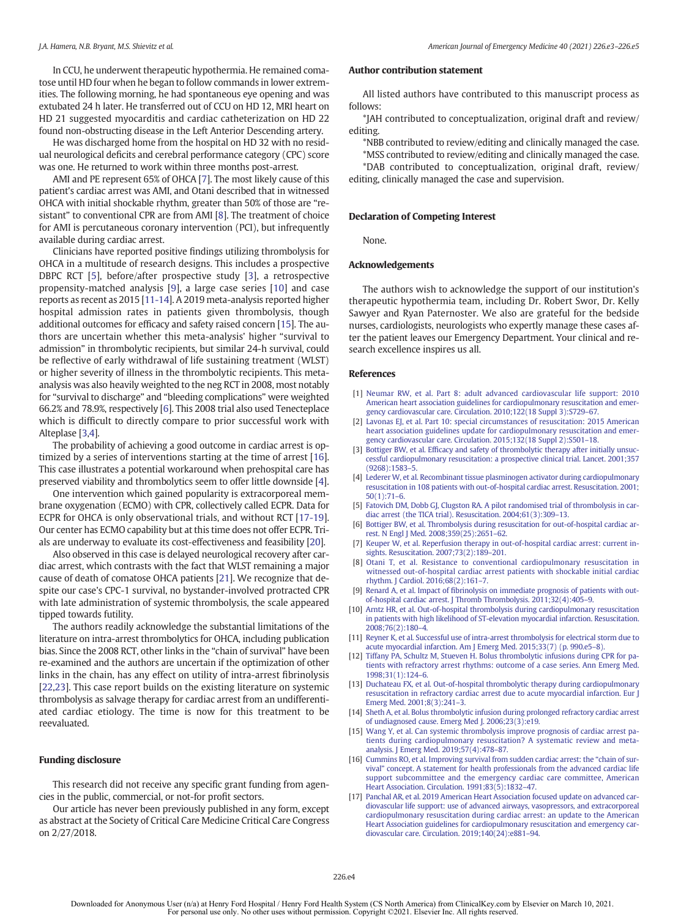<span id="page-2-0"></span>In CCU, he underwent therapeutic hypothermia. He remained comatose until HD four when he began to follow commands in lower extremities. The following morning, he had spontaneous eye opening and was extubated 24 h later. He transferred out of CCU on HD 12, MRI heart on HD 21 suggested myocarditis and cardiac catheterization on HD 22 found non-obstructing disease in the Left Anterior Descending artery.

He was discharged home from the hospital on HD 32 with no residual neurological deficits and cerebral performance category (CPC) score was one. He returned to work within three months post-arrest.

AMI and PE represent 65% of OHCA [7]. The most likely cause of this patient's cardiac arrest was AMI, and Otani described that in witnessed OHCA with initial shockable rhythm, greater than 50% of those are "resistant" to conventional CPR are from AMI [8]. The treatment of choice for AMI is percutaneous coronary intervention (PCI), but infrequently available during cardiac arrest.

Clinicians have reported positive findings utilizing thrombolysis for OHCA in a multitude of research designs. This includes a prospective DBPC RCT [5], before/after prospective study [3], a retrospective propensity-matched analysis [9], a large case series [10] and case reports as recent as 2015 [11-14]. A 2019 meta-analysis reported higher hospital admission rates in patients given thrombolysis, though additional outcomes for efficacy and safety raised concern [15]. The authors are uncertain whether this meta-analysis' higher "survival to admission" in thrombolytic recipients, but similar 24-h survival, could be reflective of early withdrawal of life sustaining treatment (WLST) or higher severity of illness in the thrombolytic recipients. This metaanalysis was also heavily weighted to the neg RCT in 2008, most notably for "survival to discharge" and "bleeding complications" were weighted 66.2% and 78.9%, respectively [6]. This 2008 trial also used Tenecteplace which is difficult to directly compare to prior successful work with Alteplase [3,4].

The probability of achieving a good outcome in cardiac arrest is optimized by a series of interventions starting at the time of arrest [16]. This case illustrates a potential workaround when prehospital care has preserved viability and thrombolytics seem to offer little downside [4].

One intervention which gained popularity is extracorporeal membrane oxygenation (ECMO) with CPR, collectively called ECPR. Data for ECPR for OHCA is only observational trials, and without RCT [17-19]. Our center has ECMO capability but at this time does not offer ECPR. Trials are underway to evaluate its cost-effectiveness and feasibility [\[20\]](#page-3-0).

Also observed in this case is delayed neurological recovery after cardiac arrest, which contrasts with the fact that WLST remaining a major cause of death of comatose OHCA patients [[21\]](#page-3-0). We recognize that despite our case's CPC-1 survival, no bystander-involved protracted CPR with late administration of systemic thrombolysis, the scale appeared tipped towards futility.

The authors readily acknowledge the substantial limitations of the literature on intra-arrest thrombolytics for OHCA, including publication bias. Since the 2008 RCT, other links in the "chain of survival" have been re-examined and the authors are uncertain if the optimization of other links in the chain, has any effect on utility of intra-arrest fibrinolysis [[22,23\]](#page-3-0). This case report builds on the existing literature on systemic thrombolysis as salvage therapy for cardiac arrest from an undifferentiated cardiac etiology. The time is now for this treatment to be reevaluated.

#### Funding disclosure

This research did not receive any specific grant funding from agencies in the public, commercial, or not-for profit sectors.

Our article has never been previously published in any form, except as abstract at the Society of Critical Care Medicine Critical Care Congress on 2/27/2018.

#### Author contribution statement

All listed authors have contributed to this manuscript process as follows:

\*JAH contributed to conceptualization, original draft and review/ editing.

\*NBB contributed to review/editing and clinically managed the case. \*MSS contributed to review/editing and clinically managed the case.

\*DAB contributed to conceptualization, original draft, review/ editing, clinically managed the case and supervision.

#### Declaration of Competing Interest

None.

#### Acknowledgements

The authors wish to acknowledge the support of our institution's therapeutic hypothermia team, including Dr. Robert Swor, Dr. Kelly Sawyer and Ryan Paternoster. We also are grateful for the bedside nurses, cardiologists, neurologists who expertly manage these cases after the patient leaves our Emergency Department. Your clinical and research excellence inspires us all.

#### References

- [1] [Neumar RW, et al. Part 8: adult advanced cardiovascular life support: 2010](http://refhub.elsevier.com/S0735-6757(20)30647-1/rf0005) [American heart association guidelines for cardiopulmonary resuscitation and emer](http://refhub.elsevier.com/S0735-6757(20)30647-1/rf0005)[gency cardiovascular care. Circulation. 2010;122\(18 Suppl 3\):S729](http://refhub.elsevier.com/S0735-6757(20)30647-1/rf0005)–67.
- [2] [Lavonas EJ, et al. Part 10: special circumstances of resuscitation: 2015 American](http://refhub.elsevier.com/S0735-6757(20)30647-1/rf0010) [heart association guidelines update for cardiopulmonary resuscitation and emer](http://refhub.elsevier.com/S0735-6757(20)30647-1/rf0010)[gency cardiovascular care. Circulation. 2015;132\(18 Suppl 2\):S501](http://refhub.elsevier.com/S0735-6757(20)30647-1/rf0010)–18.
- [3] Bottiger BW, et al. Effi[cacy and safety of thrombolytic therapy after initially unsuc](http://refhub.elsevier.com/S0735-6757(20)30647-1/rf0015)[cessful cardiopulmonary resuscitation: a prospective clinical trial. Lancet. 2001;357](http://refhub.elsevier.com/S0735-6757(20)30647-1/rf0015) [\(9268\):1583](http://refhub.elsevier.com/S0735-6757(20)30647-1/rf0015)–5.
- [4] [Lederer W, et al. Recombinant tissue plasminogen activator during cardiopulmonary](http://refhub.elsevier.com/S0735-6757(20)30647-1/rf0020) [resuscitation in 108 patients with out-of-hospital cardiac arrest. Resuscitation. 2001;](http://refhub.elsevier.com/S0735-6757(20)30647-1/rf0020) [50\(1\):71](http://refhub.elsevier.com/S0735-6757(20)30647-1/rf0020)–6.
- [5] [Fatovich DM, Dobb GJ, Clugston RA. A pilot randomised trial of thrombolysis in car](http://refhub.elsevier.com/S0735-6757(20)30647-1/rf0025)[diac arrest \(the TICA trial\). Resuscitation. 2004;61\(3\):309](http://refhub.elsevier.com/S0735-6757(20)30647-1/rf0025)–13.
- [6] [Bottiger BW, et al. Thrombolysis during resuscitation for out-of-hospital cardiac ar](http://refhub.elsevier.com/S0735-6757(20)30647-1/rf0030)[rest. N Engl J Med. 2008;359\(25\):2651](http://refhub.elsevier.com/S0735-6757(20)30647-1/rf0030)–62.
- [Keuper W, et al. Reperfusion therapy in out-of-hospital cardiac arrest: current in](http://refhub.elsevier.com/S0735-6757(20)30647-1/rf0035)[sights. Resuscitation. 2007;73\(2\):189](http://refhub.elsevier.com/S0735-6757(20)30647-1/rf0035)–201.
- [8] [Otani T, et al. Resistance to conventional cardiopulmonary resuscitation in](http://refhub.elsevier.com/S0735-6757(20)30647-1/rf0040) [witnessed out-of-hospital cardiac arrest patients with shockable initial cardiac](http://refhub.elsevier.com/S0735-6757(20)30647-1/rf0040) [rhythm. J Cardiol. 2016;68\(2\):161](http://refhub.elsevier.com/S0735-6757(20)30647-1/rf0040)–7.
- [9] Renard A, et al. Impact of fi[brinolysis on immediate prognosis of patients with out](http://refhub.elsevier.com/S0735-6757(20)30647-1/rf0045)[of-hospital cardiac arrest. J Thromb Thrombolysis. 2011;32\(4\):405](http://refhub.elsevier.com/S0735-6757(20)30647-1/rf0045)–9.
- [10] [Arntz HR, et al. Out-of-hospital thrombolysis during cardiopulmonary resuscitation](http://refhub.elsevier.com/S0735-6757(20)30647-1/rf0050) [in patients with high likelihood of ST-elevation myocardial infarction. Resuscitation.](http://refhub.elsevier.com/S0735-6757(20)30647-1/rf0050) [2008;76\(2\):180](http://refhub.elsevier.com/S0735-6757(20)30647-1/rf0050)–4.
- [11] [Reyner K, et al. Successful use of intra-arrest thrombolysis for electrical storm due to](http://refhub.elsevier.com/S0735-6757(20)30647-1/rf0055) [acute myocardial infarction. Am J Emerg Med. 2015;33\(7\) \(p. 990.e5](http://refhub.elsevier.com/S0735-6757(20)30647-1/rf0055)–8).
- [12] [Tiffany PA, Schultz M, Stueven H. Bolus thrombolytic infusions during CPR for pa](http://refhub.elsevier.com/S0735-6757(20)30647-1/rf0060)[tients with refractory arrest rhythms: outcome of a case series. Ann Emerg Med.](http://refhub.elsevier.com/S0735-6757(20)30647-1/rf0060) [1998;31\(1\):124](http://refhub.elsevier.com/S0735-6757(20)30647-1/rf0060)–6.
- [13] [Duchateau FX, et al. Out-of-hospital thrombolytic therapy during cardiopulmonary](http://refhub.elsevier.com/S0735-6757(20)30647-1/rf0065) [resuscitation in refractory cardiac arrest due to acute myocardial infarction. Eur J](http://refhub.elsevier.com/S0735-6757(20)30647-1/rf0065) [Emerg Med. 2001;8\(3\):241](http://refhub.elsevier.com/S0735-6757(20)30647-1/rf0065)–3.
- [14] [Sheth A, et al. Bolus thrombolytic infusion during prolonged refractory cardiac arrest](http://refhub.elsevier.com/S0735-6757(20)30647-1/rf0070) [of undiagnosed cause. Emerg Med J. 2006;23\(3\):e19.](http://refhub.elsevier.com/S0735-6757(20)30647-1/rf0070)
- [15] [Wang Y, et al. Can systemic thrombolysis improve prognosis of cardiac arrest pa](http://refhub.elsevier.com/S0735-6757(20)30647-1/rf0075)[tients during cardiopulmonary resuscitation? A systematic review and meta](http://refhub.elsevier.com/S0735-6757(20)30647-1/rf0075)[analysis. J Emerg Med. 2019;57\(4\):478](http://refhub.elsevier.com/S0735-6757(20)30647-1/rf0075)–87.
- [16] [Cummins RO, et al. Improving survival from sudden cardiac arrest: the](http://refhub.elsevier.com/S0735-6757(20)30647-1/rf0080) "chain of survival" [concept. A statement for health professionals from the advanced cardiac life](http://refhub.elsevier.com/S0735-6757(20)30647-1/rf0080) [support subcommittee and the emergency cardiac care committee, American](http://refhub.elsevier.com/S0735-6757(20)30647-1/rf0080) [Heart Association. Circulation. 1991;83\(5\):1832](http://refhub.elsevier.com/S0735-6757(20)30647-1/rf0080)–47.
- [17] [Panchal AR, et al. 2019 American Heart Association focused update on advanced car](http://refhub.elsevier.com/S0735-6757(20)30647-1/rf0085)[diovascular life support: use of advanced airways, vasopressors, and extracorporeal](http://refhub.elsevier.com/S0735-6757(20)30647-1/rf0085) [cardiopulmonary resuscitation during cardiac arrest: an update to the American](http://refhub.elsevier.com/S0735-6757(20)30647-1/rf0085) [Heart Association guidelines for cardiopulmonary resuscitation and emergency car](http://refhub.elsevier.com/S0735-6757(20)30647-1/rf0085)[diovascular care. Circulation. 2019;140\(24\):e881](http://refhub.elsevier.com/S0735-6757(20)30647-1/rf0085)–94.